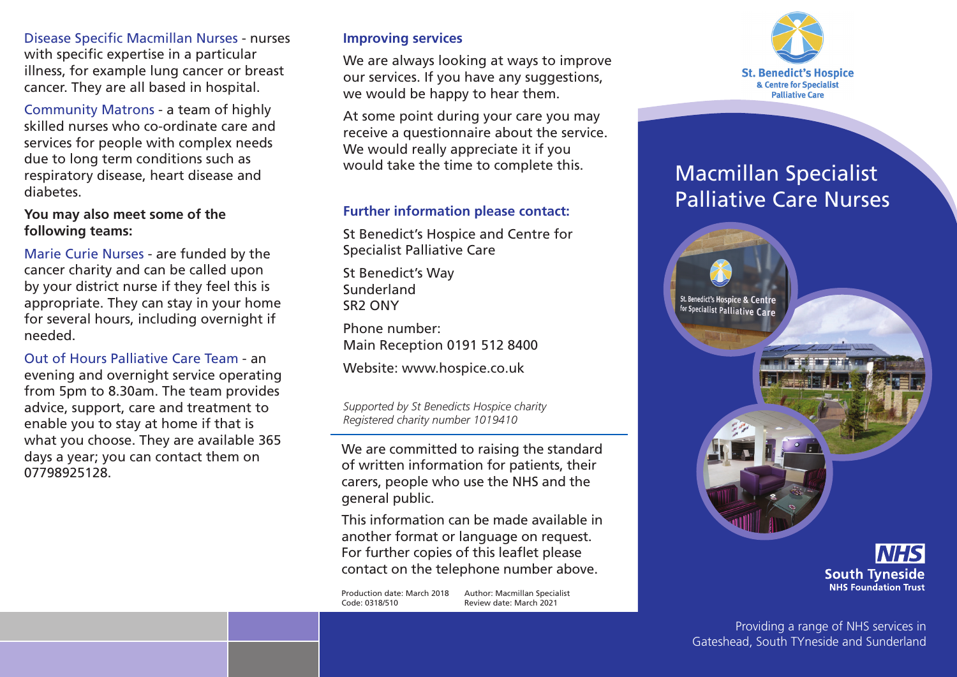Disease Specific Macmillan Nurses - nurses with specific expertise in a particular illness, for example lung cancer or breast cancer. They are all based in hospital.

Community Matrons - a team of highly skilled nurses who co-ordinate care and services for people with complex needs due to long term conditions such as respiratory disease, heart disease and diabetes.

**You may also meet some of the following teams:**

Marie Curie Nurses - are funded by the cancer charity and can be called upon by your district nurse if they feel this is appropriate. They can stay in your home for several hours, including overnight if needed.

Out of Hours Palliative Care Team - an evening and overnight service operating from 5pm to 8.30am. The team provides advice, support, care and treatment to enable you to stay at home if that is what you choose. They are available 365 days a year; you can contact them on 07798925128.

#### **Improving services**

We are always looking at ways to improve our services. If you have any suggestions, we would be happy to hear them.

At some point during your care you may receive a questionnaire about the service. We would really appreciate it if you would take the time to complete this.

## **Further information please contact:**

St Benedict's Hospice and Centre for Specialist Palliative Care

St Benedict's Way Sunderland SR2 ONY

Phone number: Main Reception 0191 512 8400

Website: www.hospice.co.uk

*Supported by St Benedicts Hospice charity Registered charity number 1019410*

We are committed to raising the standard of written information for patients, their carers, people who use the NHS and the general public.

This information can be made available in another format or language on request. For further copies of this leaflet please contact on the telephone number above.

Production date: March 2018 Author: Macmillan Specialist Code: 0318/510Review date: March 2021



# Macmillan Specialist Palliative Care Nurses



**South Tyneside NHS Foundation Trust**